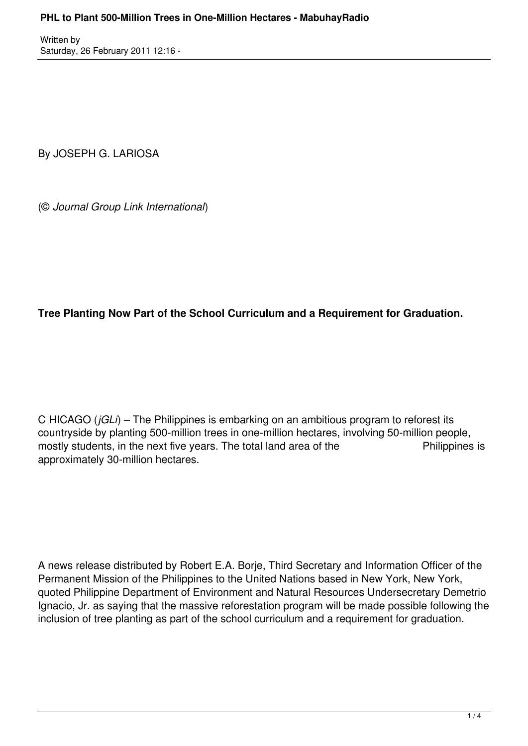Written by Saturday, 26 February 2011 12:16 -

By JOSEPH G. LARIOSA

(© *Journal Group Link International*)

## **Tree Planting Now Part of the School Curriculum and a Requirement for Graduation.**

C HICAGO (*jGLi*) – The Philippines is embarking on an ambitious program to reforest its countryside by planting 500-million trees in one-million hectares, involving 50-million people, mostly students, in the next five years. The total land area of the Philippines is approximately 30-million hectares.

A news release distributed by Robert E.A. Borje, Third Secretary and Information Officer of the Permanent Mission of the Philippines to the United Nations based in New York, New York, quoted Philippine Department of Environment and Natural Resources Undersecretary Demetrio Ignacio, Jr. as saying that the massive reforestation program will be made possible following the inclusion of tree planting as part of the school curriculum and a requirement for graduation.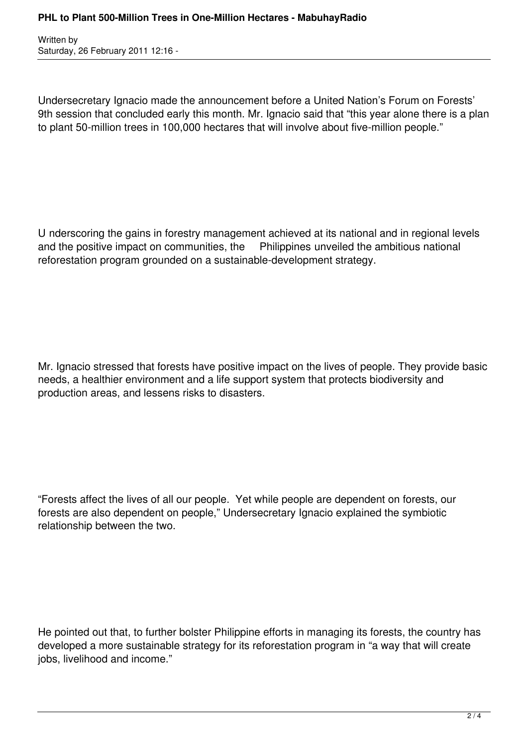Written by Saturday, 26 February 2011 12:16 -

Undersecretary Ignacio made the announcement before a United Nation's Forum on Forests' 9th session that concluded early this month. Mr. Ignacio said that "this year alone there is a plan to plant 50-million trees in 100,000 hectares that will involve about five-million people."

U nderscoring the gains in forestry management achieved at its national and in regional levels and the positive impact on communities, the Philippines unveiled the ambitious national reforestation program grounded on a sustainable-development strategy.

Mr. Ignacio stressed that forests have positive impact on the lives of people. They provide basic needs, a healthier environment and a life support system that protects biodiversity and production areas, and lessens risks to disasters.

"Forests affect the lives of all our people. Yet while people are dependent on forests, our forests are also dependent on people," Undersecretary Ignacio explained the symbiotic relationship between the two.

He pointed out that, to further bolster Philippine efforts in managing its forests, the country has developed a more sustainable strategy for its reforestation program in "a way that will create jobs, livelihood and income."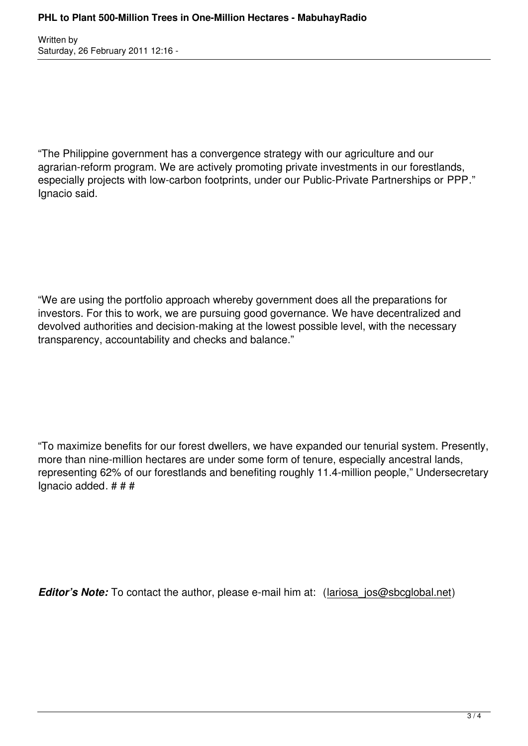Written by Saturday, 26 February 2011 12:16 -

"The Philippine government has a convergence strategy with our agriculture and our agrarian-reform program. We are actively promoting private investments in our forestlands, especially projects with low-carbon footprints, under our Public-Private Partnerships or PPP." Ignacio said.

"We are using the portfolio approach whereby government does all the preparations for investors. For this to work, we are pursuing good governance. We have decentralized and devolved authorities and decision-making at the lowest possible level, with the necessary transparency, accountability and checks and balance."

"To maximize benefits for our forest dwellers, we have expanded our tenurial system. Presently, more than nine-million hectares are under some form of tenure, especially ancestral lands, representing 62% of our forestlands and benefiting roughly 11.4-million people," Undersecretary Ignacio added. # # #

*Editor's Note:* To contact the author, please e-mail him at: (lariosa jos@sbcglobal.net)